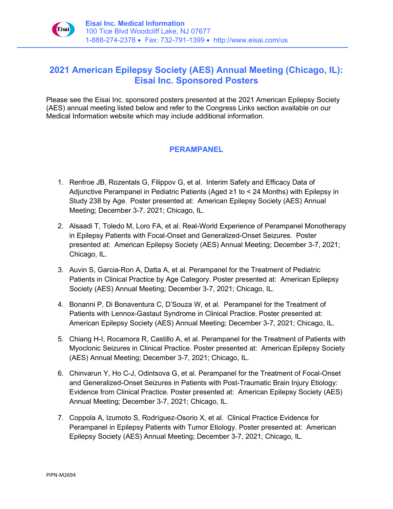

## **2021 American Epilepsy Society (AES) Annual Meeting (Chicago, IL): Eisai Inc. Sponsored Posters**

Please see the Eisai Inc. sponsored posters presented at the 2021 American Epilepsy Society (AES) annual meeting listed below and refer to the Congress Links section available on our Medical Information website which may include additional information.

## **PERAMPANEL**

- 1. Renfroe JB, Rozentals G, Filippov G, et al. Interim Safety and Efficacy Data of Adjunctive Perampanel in Pediatric Patients (Aged ≥1 to < 24 Months) with Epilepsy in Study 238 by Age. Poster presented at: American Epilepsy Society (AES) Annual Meeting; December 3-7, 2021; Chicago, IL.
- 2. Alsaadi T, Toledo M, Loro FA, et al. Real-World Experience of Perampanel Monotherapy in Epilepsy Patients with Focal-Onset and Generalized-Onset Seizures. Poster presented at: American Epilepsy Society (AES) Annual Meeting; December 3-7, 2021; Chicago, IL.
- 3. Auvin S, Garcia-Ron A, Datta A, et al. Perampanel for the Treatment of Pediatric Patients in Clinical Practice by Age Category. Poster presented at: American Epilepsy Society (AES) Annual Meeting; December 3-7, 2021; Chicago, IL.
- 4. Bonanni P, Di Bonaventura C, D'Souza W, et al. Perampanel for the Treatment of Patients with Lennox-Gastaut Syndrome in Clinical Practice. Poster presented at: American Epilepsy Society (AES) Annual Meeting; December 3-7, 2021; Chicago, IL.
- 5. Chiang H-I, Rocamora R, Castillo A, et al. Perampanel for the Treatment of Patients with Myoclonic Seizures in Clinical Practice. Poster presented at: American Epilepsy Society (AES) Annual Meeting; December 3-7, 2021; Chicago, IL.
- 6. Chinvarun Y, Ho C-J, Odintsova G, et al. Perampanel for the Treatment of Focal-Onset and Generalized-Onset Seizures in Patients with Post-Traumatic Brain Injury Etiology: Evidence from Clinical Practice. Poster presented at: American Epilepsy Society (AES) Annual Meeting; December 3-7, 2021; Chicago, IL.
- 7. Coppola A, Izumoto S, Rodríguez-Osorio X, et al. Clinical Practice Evidence for Perampanel in Epilepsy Patients with Tumor Etiology. Poster presented at: American Epilepsy Society (AES) Annual Meeting; December 3-7, 2021; Chicago, IL.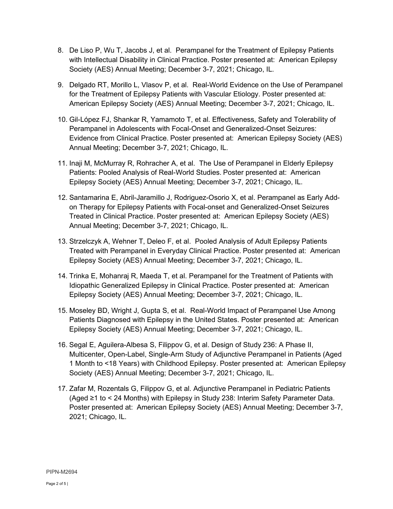- 8. De Liso P, Wu T, Jacobs J, et al. Perampanel for the Treatment of Epilepsy Patients with Intellectual Disability in Clinical Practice. Poster presented at: American Epilepsy Society (AES) Annual Meeting; December 3-7, 2021; Chicago, IL.
- 9. Delgado RT, Morillo L, Vlasov P, et al. Real-World Evidence on the Use of Perampanel for the Treatment of Epilepsy Patients with Vascular Etiology. Poster presented at: American Epilepsy Society (AES) Annual Meeting; December 3-7, 2021; Chicago, IL.
- 10. Gil-López FJ, Shankar R, Yamamoto T, et al. Effectiveness, Safety and Tolerability of Perampanel in Adolescents with Focal-Onset and Generalized-Onset Seizures: Evidence from Clinical Practice. Poster presented at: American Epilepsy Society (AES) Annual Meeting; December 3-7, 2021; Chicago, IL.
- 11. Inaji M, McMurray R, Rohracher A, et al. The Use of Perampanel in Elderly Epilepsy Patients: Pooled Analysis of Real-World Studies. Poster presented at: American Epilepsy Society (AES) Annual Meeting; December 3-7, 2021; Chicago, IL.
- 12. Santamarina E, Abril-Jaramillo J, Rodriguez-Osorio X, et al. Perampanel as Early Addon Therapy for Epilepsy Patients with Focal-onset and Generalized-Onset Seizures Treated in Clinical Practice. Poster presented at: American Epilepsy Society (AES) Annual Meeting; December 3-7, 2021; Chicago, IL.
- 13. Strzelczyk A, Wehner T, Deleo F, et al. Pooled Analysis of Adult Epilepsy Patients Treated with Perampanel in Everyday Clinical Practice. Poster presented at: American Epilepsy Society (AES) Annual Meeting; December 3-7, 2021; Chicago, IL.
- 14. Trinka E, Mohanraj R, Maeda T, et al. Perampanel for the Treatment of Patients with Idiopathic Generalized Epilepsy in Clinical Practice. Poster presented at: American Epilepsy Society (AES) Annual Meeting; December 3-7, 2021; Chicago, IL.
- 15. Moseley BD, Wright J, Gupta S, et al. Real-World Impact of Perampanel Use Among Patients Diagnosed with Epilepsy in the United States. Poster presented at: American Epilepsy Society (AES) Annual Meeting; December 3-7, 2021; Chicago, IL.
- 16. Segal E, Aguilera-Albesa S, Filippov G, et al. Design of Study 236: A Phase II, Multicenter, Open-Label, Single-Arm Study of Adjunctive Perampanel in Patients (Aged 1 Month to <18 Years) with Childhood Epilepsy. Poster presented at: American Epilepsy Society (AES) Annual Meeting; December 3-7, 2021; Chicago, IL.
- 17. Zafar M, Rozentals G, Filippov G, et al. Adjunctive Perampanel in Pediatric Patients (Aged ≥1 to < 24 Months) with Epilepsy in Study 238: Interim Safety Parameter Data. Poster presented at: American Epilepsy Society (AES) Annual Meeting; December 3-7, 2021; Chicago, IL.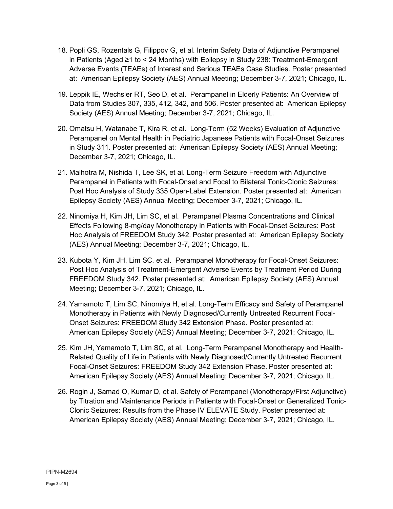- 18. Popli GS, Rozentals G, Filippov G, et al. Interim Safety Data of Adjunctive Perampanel in Patients (Aged ≥1 to < 24 Months) with Epilepsy in Study 238: Treatment-Emergent Adverse Events (TEAEs) of Interest and Serious TEAEs Case Studies. Poster presented at: American Epilepsy Society (AES) Annual Meeting; December 3-7, 2021; Chicago, IL.
- 19. Leppik IE, Wechsler RT, Seo D, et al. Perampanel in Elderly Patients: An Overview of Data from Studies 307, 335, 412, 342, and 506. Poster presented at: American Epilepsy Society (AES) Annual Meeting; December 3-7, 2021; Chicago, IL.
- 20. Omatsu H, Watanabe T, Kira R, et al. Long-Term (52 Weeks) Evaluation of Adjunctive Perampanel on Mental Health in Pediatric Japanese Patients with Focal-Onset Seizures in Study 311. Poster presented at: American Epilepsy Society (AES) Annual Meeting; December 3-7, 2021; Chicago, IL.
- 21. Malhotra M, Nishida T, Lee SK, et al. Long-Term Seizure Freedom with Adjunctive Perampanel in Patients with Focal-Onset and Focal to Bilateral Tonic-Clonic Seizures: Post Hoc Analysis of Study 335 Open-Label Extension. Poster presented at: American Epilepsy Society (AES) Annual Meeting; December 3-7, 2021; Chicago, IL.
- 22. Ninomiya H, Kim JH, Lim SC, et al. Perampanel Plasma Concentrations and Clinical Effects Following 8-mg/day Monotherapy in Patients with Focal-Onset Seizures: Post Hoc Analysis of FREEDOM Study 342. Poster presented at: American Epilepsy Society (AES) Annual Meeting; December 3-7, 2021; Chicago, IL.
- 23. Kubota Y, Kim JH, Lim SC, et al. Perampanel Monotherapy for Focal-Onset Seizures: Post Hoc Analysis of Treatment-Emergent Adverse Events by Treatment Period During FREEDOM Study 342. Poster presented at: American Epilepsy Society (AES) Annual Meeting; December 3-7, 2021; Chicago, IL.
- 24. Yamamoto T, Lim SC, Ninomiya H, et al. Long-Term Efficacy and Safety of Perampanel Monotherapy in Patients with Newly Diagnosed/Currently Untreated Recurrent Focal-Onset Seizures: FREEDOM Study 342 Extension Phase. Poster presented at: American Epilepsy Society (AES) Annual Meeting; December 3-7, 2021; Chicago, IL.
- 25. Kim JH, Yamamoto T, Lim SC, et al. Long-Term Perampanel Monotherapy and Health-Related Quality of Life in Patients with Newly Diagnosed/Currently Untreated Recurrent Focal-Onset Seizures: FREEDOM Study 342 Extension Phase. Poster presented at: American Epilepsy Society (AES) Annual Meeting; December 3-7, 2021; Chicago, IL.
- 26. Rogin J, Samad O, Kumar D, et al. Safety of Perampanel (Monotherapy/First Adjunctive) by Titration and Maintenance Periods in Patients with Focal-Onset or Generalized Tonic-Clonic Seizures: Results from the Phase IV ELEVATE Study. Poster presented at: American Epilepsy Society (AES) Annual Meeting; December 3-7, 2021; Chicago, IL.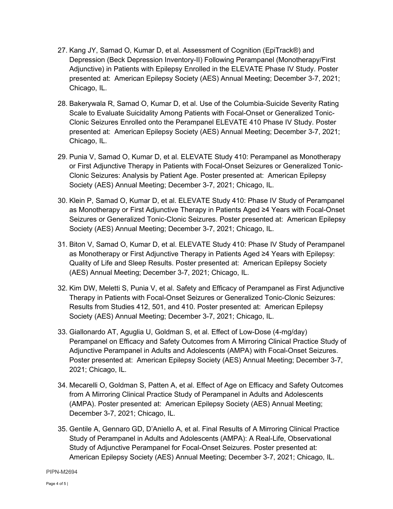- 27. Kang JY, Samad O, Kumar D, et al. Assessment of Cognition (EpiTrack®) and Depression (Beck Depression Inventory-II) Following Perampanel (Monotherapy/First Adjunctive) in Patients with Epilepsy Enrolled in the ELEVATE Phase IV Study. Poster presented at: American Epilepsy Society (AES) Annual Meeting; December 3-7, 2021; Chicago, IL.
- 28. Bakerywala R, Samad O, Kumar D, et al. Use of the Columbia-Suicide Severity Rating Scale to Evaluate Suicidality Among Patients with Focal-Onset or Generalized Tonic-Clonic Seizures Enrolled onto the Perampanel ELEVATE 410 Phase IV Study. Poster presented at: American Epilepsy Society (AES) Annual Meeting; December 3-7, 2021; Chicago, IL.
- 29. Punia V, Samad O, Kumar D, et al. ELEVATE Study 410: Perampanel as Monotherapy or First Adjunctive Therapy in Patients with Focal-Onset Seizures or Generalized Tonic-Clonic Seizures: Analysis by Patient Age. Poster presented at: American Epilepsy Society (AES) Annual Meeting; December 3-7, 2021; Chicago, IL.
- 30. Klein P, Samad O, Kumar D, et al. ELEVATE Study 410: Phase IV Study of Perampanel as Monotherapy or First Adjunctive Therapy in Patients Aged ≥4 Years with Focal-Onset Seizures or Generalized Tonic-Clonic Seizures. Poster presented at: American Epilepsy Society (AES) Annual Meeting; December 3-7, 2021; Chicago, IL.
- 31. Biton V, Samad O, Kumar D, et al. ELEVATE Study 410: Phase IV Study of Perampanel as Monotherapy or First Adjunctive Therapy in Patients Aged ≥4 Years with Epilepsy: Quality of Life and Sleep Results. Poster presented at: American Epilepsy Society (AES) Annual Meeting; December 3-7, 2021; Chicago, IL.
- 32. Kim DW, Meletti S, Punia V, et al. Safety and Efficacy of Perampanel as First Adjunctive Therapy in Patients with Focal-Onset Seizures or Generalized Tonic-Clonic Seizures: Results from Studies 412, 501, and 410. Poster presented at: American Epilepsy Society (AES) Annual Meeting; December 3-7, 2021; Chicago, IL.
- 33. Giallonardo AT, Aguglia U, Goldman S, et al. Effect of Low-Dose (4-mg/day) Perampanel on Efficacy and Safety Outcomes from A Mirroring Clinical Practice Study of Adjunctive Perampanel in Adults and Adolescents (AMPA) with Focal-Onset Seizures. Poster presented at: American Epilepsy Society (AES) Annual Meeting; December 3-7, 2021; Chicago, IL.
- 34. Mecarelli O, Goldman S, Patten A, et al. Effect of Age on Efficacy and Safety Outcomes from A Mirroring Clinical Practice Study of Perampanel in Adults and Adolescents (AMPA). Poster presented at: American Epilepsy Society (AES) Annual Meeting; December 3-7, 2021; Chicago, IL.
- 35. Gentile A, Gennaro GD, D'Aniello A, et al. Final Results of A Mirroring Clinical Practice Study of Perampanel in Adults and Adolescents (AMPA): A Real-Life, Observational Study of Adjunctive Perampanel for Focal-Onset Seizures. Poster presented at: American Epilepsy Society (AES) Annual Meeting; December 3-7, 2021; Chicago, IL.